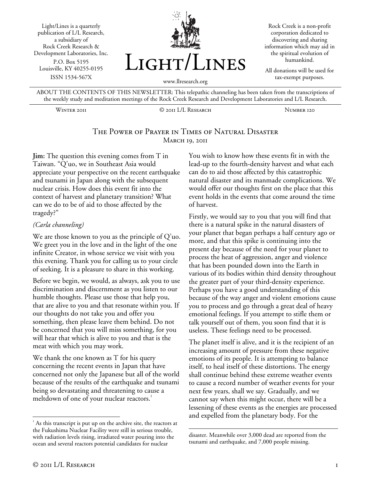Light/Lines is a quarterly publication of L/L Research, a subsidiary of Rock Creek Research & Development Laboratories, Inc. P.O. Box 5195 Louisville, KY 40255-0195 ISSN 1534-567X



Rock Creek is a non-profit corporation dedicated to discovering and sharing information which may aid in the spiritual evolution of humankind.

All donations will be used for tax-exempt purposes.

ABOUT THE CONTENTS OF THIS NEWSLETTER: This telepathic channeling has been taken from the transcriptions of the weekly study and meditation meetings of the Rock Creek Research and Development Laboratories and L/L Research.

Winter 2011 © 2011 L/L Research Number 120

# The Power of Prayer in Times of Natural Disaster **MARCH 19, 2011**

**Jim:** The question this evening comes from T in Taiwan. "Q'uo, we in Southeast Asia would appreciate your perspective on the recent earthquake and tsunami in Japan along with the subsequent nuclear crisis. How does this event fit into the context of harvest and planetary transition? What can we do to be of aid to those affected by the tragedy?"

#### *(Carla channeling)*

We are those known to you as the principle of Q'uo. We greet you in the love and in the light of the one infinite Creator, in whose service we visit with you this evening. Thank you for calling us to your circle of seeking. It is a pleasure to share in this working.

Before we begin, we would, as always, ask you to use discrimination and discernment as you listen to our humble thoughts. Please use those that help you, that are alive to you and that resonate within you. If our thoughts do not take you and offer you something, then please leave them behind. Do not be concerned that you will miss something, for you will hear that which is alive to you and that is the meat with which you may work.

We thank the one known as T for his query concerning the recent events in Japan that have concerned not only the Japanese but all of the world because of the results of the earthquake and tsunami being so devastating and threatening to cause a meltdown of one of your nuclear reactors.<sup>1</sup>

You wish to know how these events fit in with the lead-up to the fourth-density harvest and what each can do to aid those affected by this catastrophic natural disaster and its manmade complications. We would offer our thoughts first on the place that this event holds in the events that come around the time of harvest.

Firstly, we would say to you that you will find that there is a natural spike in the natural disasters of your planet that began perhaps a half century ago or more, and that this spike is continuing into the present day because of the need for your planet to process the heat of aggression, anger and violence that has been pounded down into the Earth in various of its bodies within third density throughout the greater part of your third-density experience. Perhaps you have a good understanding of this because of the way anger and violent emotions cause you to process and go through a great deal of heavy emotional feelings. If you attempt to stifle them or talk yourself out of them, you soon find that it is useless. These feelings need to be processed.

The planet itself is alive, and it is the recipient of an increasing amount of pressure from these negative emotions of its people. It is attempting to balance itself, to heal itself of these distortions. The energy shall continue behind these extreme weather events to cause a record number of weather events for your next few years, shall we say. Gradually, and we cannot say when this might occur, there will be a lessening of these events as the energies are processed and expelled from the planetary body. For the

 $\overline{a}$ 

 $1$  As this transcript is put up on the archive site, the reactors at the Fukushima Nuclear Facility were still in serious trouble, with radiation levels rising, irradiated water pouring into the ocean and several reactors potential candidates for nuclear

 $\overline{a}$ disaster. Meanwhile over 3,000 dead are reported from the tsunami and earthquake, and 7,000 people missing.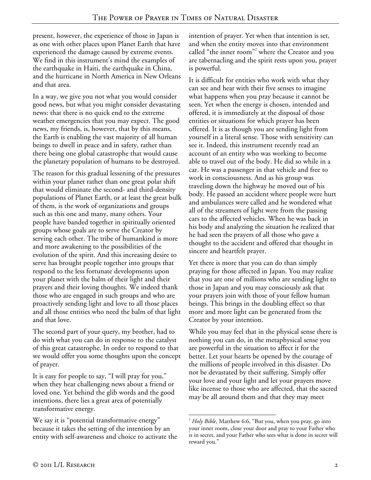present, however, the experience of those in Japan is as one with other places upon Planet Earth that have experienced the damage caused by extreme events. We find in this instrument's mind the examples of the earthquake in Haiti, the earthquake in China, and the hurricane in North America in New Orleans and that area.

In a way, we give you not what you would consider good news, but what you might consider devastating news: that there is no quick end to the extreme weather emergencies that you may expect. The good news, my friends, is, however, that by this means, the Earth is enabling the vast majority of all human beings to dwell in peace and in safety, rather than there being one global catastrophe that would cause the planetary population of humans to be destroyed.

The reason for this gradual lessening of the pressures within your planet rather than one great polar shift that would eliminate the second- and third-density populations of Planet Earth, or at least the great bulk of them, is the work of organizations and groups such as this one and many, many others. Your people have banded together in spiritually oriented groups whose goals are to serve the Creator by serving each other. The tribe of humankind is more and more awakening to the possibilities of the evolution of the spirit. And this increasing desire to serve has brought people together into groups that respond to the less fortunate developments upon your planet with the balm of their light and their prayers and their loving thoughts. We indeed thank those who are engaged in such groups and who are proactively sending light and love to all those places and all those entities who need the balm of that light and that love.

The second part of your query, my brother, had to do with what you can do in response to the catalyst of this great catastrophe. In order to respond to that we would offer you some thoughts upon the concept of prayer.

It is easy for people to say, "I will pray for you," when they hear challenging news about a friend or loved one. Yet behind the glib words and the good intentions, there lies a great area of potentially transformative energy.

We say it is "potential transformative energy" because it takes the setting of the intention by an entity with self-awareness and choice to activate the

intention of prayer. Yet when that intention is set, and when the entity moves into that environment called "the inner room"<sup>2</sup> where the Creator and you are tabernacling and the spirit rests upon you, prayer is powerful.

It is difficult for entities who work with what they can see and hear with their five senses to imagine what happens when you pray because it cannot be seen. Yet when the energy is chosen, intended and offered, it is immediately at the disposal of those entities or situations for which prayer has been offered. It is as though you are sending light from yourself in a literal sense. Those with sensitivity can see it. Indeed, this instrument recently read an account of an entity who was working to become able to travel out of the body. He did so while in a car. He was a passenger in that vehicle and free to work in consciousness. And as his group was traveling down the highway he moved out of his body. He passed an accident where people were hurt and ambulances were called and he wondered what all of the streamers of light were from the passing cars to the affected vehicles. When he was back in his body and analyzing the situation he realized that he had seen the prayers of all those who gave a thought to the accident and offered that thought in sincere and heartfelt prayer.

Yet there is more that you can do than simply praying for those affected in Japan. You may realize that you are one of millions who are sending light to those in Japan and you may consciously ask that your prayers join with those of your fellow human beings. This brings in the doubling effect so that more and more light can be generated from the Creator by your intention.

While you may feel that in the physical sense there is nothing you can do, in the metaphysical sense you are powerful in the situation to affect it for the better. Let your hearts be opened by the courage of the millions of people involved in this disaster. Do not be devastated by their suffering. Simply offer your love and your light and let your prayers move like incense to those who are affected, that the sacred may be all around them and that they may meet

 $\overline{a}$ 2 *Holy Bible*, Matthew 6:6, "But you, when you pray, go into your inner room, close your door and pray to your Father who is in secret, and your Father who sees what is done in secret will reward you."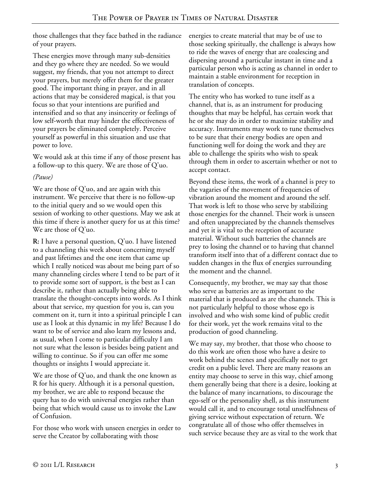those challenges that they face bathed in the radiance of your prayers.

These energies move through many sub-densities and they go where they are needed. So we would suggest, my friends, that you not attempt to direct your prayers, but merely offer them for the greater good. The important thing in prayer, and in all actions that may be considered magical, is that you focus so that your intentions are purified and intensified and so that any insincerity or feelings of low self-worth that may hinder the effectiveness of your prayers be eliminated completely. Perceive yourself as powerful in this situation and use that power to love.

We would ask at this time if any of those present has a follow-up to this query. We are those of Q'uo.

### *(Pause)*

We are those of Q'uo, and are again with this instrument. We perceive that there is no follow-up to the initial query and so we would open this session of working to other questions. May we ask at this time if there is another query for us at this time? We are those of Q'uo.

**R:** I have a personal question, Q'uo. I have listened to a channeling this week about concerning myself and past lifetimes and the one item that came up which I really noticed was about me being part of so many channeling circles where I tend to be part of it to provide some sort of support, is the best as I can describe it, rather than actually being able to translate the thought-concepts into words. As I think about that service, my question for you is, can you comment on it, turn it into a spiritual principle I can use as I look at this dynamic in my life? Because I do want to be of service and also learn my lessons and, as usual, when I come to particular difficulty I am not sure what the lesson is besides being patient and willing to continue. So if you can offer me some thoughts or insights I would appreciate it.

We are those of Q'uo, and thank the one known as R for his query. Although it is a personal question, my brother, we are able to respond because the query has to do with universal energies rather than being that which would cause us to invoke the Law of Confusion.

For those who work with unseen energies in order to serve the Creator by collaborating with those

energies to create material that may be of use to those seeking spiritually, the challenge is always how to ride the waves of energy that are coalescing and dispersing around a particular instant in time and a particular person who is acting as channel in order to maintain a stable environment for reception in translation of concepts.

The entity who has worked to tune itself as a channel, that is, as an instrument for producing thoughts that may be helpful, has certain work that he or she may do in order to maximize stability and accuracy. Instruments may work to tune themselves to be sure that their energy bodies are open and functioning well for doing the work and they are able to challenge the spirits who wish to speak through them in order to ascertain whether or not to accept contact.

Beyond these items, the work of a channel is prey to the vagaries of the movement of frequencies of vibration around the moment and around the self. That work is left to those who serve by stabilizing those energies for the channel. Their work is unseen and often unappreciated by the channels themselves and yet it is vital to the reception of accurate material. Without such batteries the channels are prey to losing the channel or to having that channel transform itself into that of a different contact due to sudden changes in the flux of energies surrounding the moment and the channel.

Consequently, my brother, we may say that those who serve as batteries are as important to the material that is produced as are the channels. This is not particularly helpful to those whose ego is involved and who wish some kind of public credit for their work, yet the work remains vital to the production of good channeling.

We may say, my brother, that those who choose to do this work are often those who have a desire to work behind the scenes and specifically not to get credit on a public level. There are many reasons an entity may choose to serve in this way, chief among them generally being that there is a desire, looking at the balance of many incarnations, to discourage the ego-self or the personality shell, as this instrument would call it, and to encourage total unselfishness of giving service without expectation of return. We congratulate all of those who offer themselves in such service because they are as vital to the work that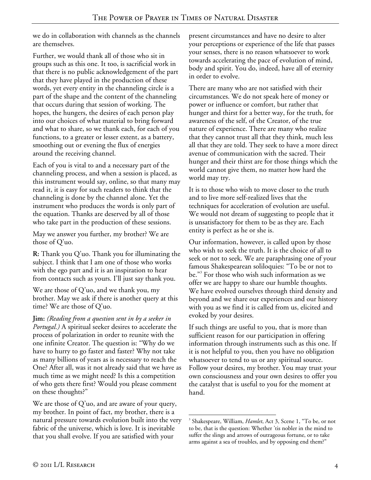we do in collaboration with channels as the channels are themselves.

Further, we would thank all of those who sit in groups such as this one. It too, is sacrificial work in that there is no public acknowledgement of the part that they have played in the production of these words, yet every entity in the channeling circle is a part of the shape and the content of the channeling that occurs during that session of working. The hopes, the hungers, the desires of each person play into our choices of what material to bring forward and what to share, so we thank each, for each of you functions, to a greater or lesser extent, as a battery, smoothing out or evening the flux of energies around the receiving channel.

Each of you is vital to and a necessary part of the channeling process, and when a session is placed, as this instrument would say, online, so that many may read it, it is easy for such readers to think that the channeling is done by the channel alone. Yet the instrument who produces the words is only part of the equation. Thanks are deserved by all of those who take part in the production of these sessions.

May we answer you further, my brother? We are those of Q'uo.

**R:** Thank you Q'uo. Thank you for illuminating the subject. I think that I am one of those who works with the ego part and it is an inspiration to hear from contacts such as yours. I'll just say thank you.

We are those of Q'uo, and we thank you, my brother. May we ask if there is another query at this time? We are those of Q'uo.

**Jim:** *(Reading from a question sent in by a seeker in Portugal.)* A spiritual seeker desires to accelerate the process of polarization in order to reunite with the one infinite Creator. The question is: "Why do we have to hurry to go faster and faster? Why not take as many billions of years as is necessary to reach the One? After all, was it not already said that we have as much time as we might need? Is this a competition of who gets there first? Would you please comment on these thoughts?"

We are those of  $Q'$ uo, and are aware of your query, my brother. In point of fact, my brother, there is a natural pressure towards evolution built into the very fabric of the universe, which is love. It is inevitable that you shall evolve. If you are satisfied with your

present circumstances and have no desire to alter your perceptions or experience of the life that passes your senses, there is no reason whatsoever to work towards accelerating the pace of evolution of mind, body and spirit. You do, indeed, have all of eternity in order to evolve.

There are many who are not satisfied with their circumstances. We do not speak here of money or power or influence or comfort, but rather that hunger and thirst for a better way, for the truth, for awareness of the self, of the Creator, of the true nature of experience. There are many who realize that they cannot trust all that they think, much less all that they are told. They seek to have a more direct avenue of communication with the sacred. Their hunger and their thirst are for those things which the world cannot give them, no matter how hard the world may try.

It is to those who wish to move closer to the truth and to live more self-realized lives that the techniques for acceleration of evolution are useful. We would not dream of suggesting to people that it is unsatisfactory for them to be as they are. Each entity is perfect as he or she is.

Our information, however, is called upon by those who wish to seek the truth. It is the choice of all to seek or not to seek. We are paraphrasing one of your famous Shakespearean soliloquies: "To be or not to be."<sup>3</sup> For those who wish such information as we offer we are happy to share our humble thoughts. We have evolved ourselves through third density and beyond and we share our experiences and our history with you as we find it is called from us, elicited and evoked by your desires.

If such things are useful to you, that is more than sufficient reason for our participation in offering information through instruments such as this one. If it is not helpful to you, then you have no obligation whatsoever to tend to us or any spiritual source. Follow your desires, my brother. You may trust your own consciousness and your own desires to offer you the catalyst that is useful to you for the moment at hand.

 $\overline{a}$ 3 Shakespeare, William, *Hamlet*, Act 3, Scene 1, "To be, or not to be, that is the question: Whether 'tis nobler in the mind to suffer the slings and arrows of outrageous fortune, or to take arms against a sea of troubles, and by opposing end them?"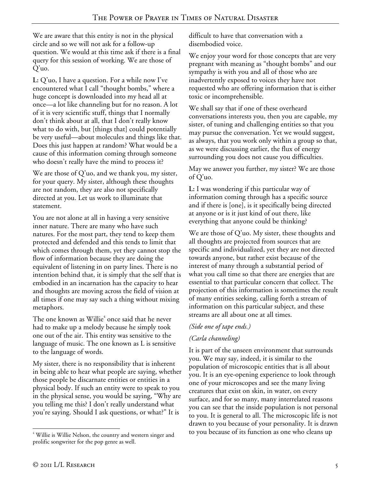We are aware that this entity is not in the physical circle and so we will not ask for a follow-up question. We would at this time ask if there is a final query for this session of working. We are those of Q'uo.

**L:** Q'uo, I have a question. For a while now I've encountered what I call "thought bombs," where a huge concept is downloaded into my head all at once—a lot like channeling but for no reason. A lot of it is very scientific stuff, things that I normally don't think about at all, that I don't really know what to do with, but [things that] could potentially be very useful—about molecules and things like that. Does this just happen at random? What would be a cause of this information coming through someone who doesn't really have the mind to process it?

We are those of Q'uo, and we thank you, my sister, for your query. My sister, although these thoughts are not random, they are also not specifically directed at you. Let us work to illuminate that statement.

You are not alone at all in having a very sensitive inner nature. There are many who have such natures. For the most part, they tend to keep them protected and defended and this tends to limit that which comes through them, yet they cannot stop the flow of information because they are doing the equivalent of listening in on party lines. There is no intention behind that, it is simply that the self that is embodied in an incarnation has the capacity to hear and thoughts are moving across the field of vision at all times if one may say such a thing without mixing metaphors.

The one known as Willie<sup>4</sup> once said that he never had to make up a melody because he simply took one out of the air. This entity was sensitive to the language of music. The one known as L is sensitive to the language of words.

My sister, there is no responsibility that is inherent in being able to hear what people are saying, whether those people be discarnate entities or entities in a physical body. If such an entity were to speak to you in the physical sense, you would be saying, "Why are you telling me this? I don't really understand what you're saying. Should I ask questions, or what?" It is

difficult to have that conversation with a disembodied voice.

We enjoy your word for those concepts that are very pregnant with meaning as "thought bombs" and our sympathy is with you and all of those who are inadvertently exposed to voices they have not requested who are offering information that is either toxic or incomprehensible.

We shall say that if one of these overheard conversations interests you, then you are capable, my sister, of tuning and challenging entities so that you may pursue the conversation. Yet we would suggest, as always, that you work only within a group so that, as we were discussing earlier, the flux of energy surrounding you does not cause you difficulties.

May we answer you further, my sister? We are those of Q'uo.

**L:** I was wondering if this particular way of information coming through has a specific source and if there is [one], is it specifically being directed at anyone or is it just kind of out there, like everything that anyone could be thinking?

We are those of Q'uo. My sister, these thoughts and all thoughts are projected from sources that are specific and individualized, yet they are not directed towards anyone, but rather exist because of the interest of many through a substantial period of what you call time so that there are energies that are essential to that particular concern that collect. The projection of this information is sometimes the result of many entities seeking, calling forth a stream of information on this particular subject, and these streams are all about one at all times.

### *(Side one of tape ends.)*

# *(Carla channeling)*

It is part of the unseen environment that surrounds you. We may say, indeed, it is similar to the population of microscopic entities that is all about you. It is an eye-opening experience to look through one of your microscopes and see the many living creatures that exist on skin, in water, on every surface, and for so many, many interrelated reasons you can see that the inside population is not personal to you. It is general to all. The microscopic life is not drawn to you because of your personality. It is drawn to you because of its function as one who cleans up

<sup>&</sup>lt;u>.</u> <sup>4</sup> Willie is Willie Nelson, the country and western singer and prolific songwriter for the pop genre as well.